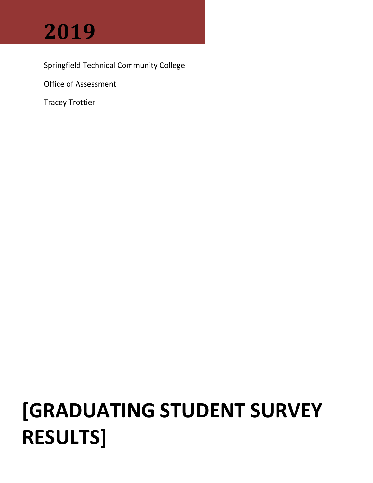# **2019**

Springfield Technical Community College

Office of Assessment

Tracey Trottier

# **[GRADUATING STUDENT SURVEY RESULTS]**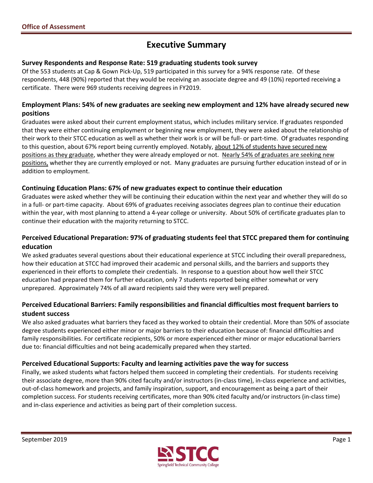# **Executive Summary**

#### **Survey Respondents and Response Rate: 519 graduating students took survey**

 Of the 553 students at Cap & Gown Pick‐Up, 519 participated in this survey for a 94% response rate. Of these respondents, 448 (90%) reported that they would be receiving an associate degree and 49 (10%) reported receiving a certificate. There were 969 students receiving degrees in FY2019.

#### Employment Plans: 54% of new graduates are seeking new employment and 12% have already secured new **positions**

 Graduates were asked about their current employment status, which includes military service. If graduates responded that they were either continuing employment or beginning new employment, they were asked about the relationship of their work to their STCC education as well as whether their work is or will be full‐ or part‐time. Of graduates responding to this question, about 67% report being currently employed. Notably, about 12% of students have secured new positions as they graduate, whether they were already employed or not. Nearly 54% of graduates are seeking new positions, whether they are currently employed or not. Many graduates are pursuing further education instead of or in addition to employment.

#### **Continuing Education Plans: 67% of new graduates expect to continue their education**

 Graduates were asked whether they will be continuing their education within the next year and whether they will do so in a full‐ or part‐time capacity. About 69% of graduates receiving associates degrees plan to continue their education within the year, with most planning to attend a 4‐year college or university. About 50% of certificate graduates plan to continue their education with the majority returning to STCC.

#### Perceived Educational Preparation: 97% of graduating students feel that STCC prepared them for continuing **education**

 We asked graduates several questions about their educational experience at STCC including their overall preparedness, how their education at STCC had improved their academic and personal skills, and the barriers and supports they experienced in their efforts to complete their credentials. In response to a question about how well their STCC education had prepared them for further education, only 7 students reported being either somewhat or very unprepared. Approximately 74% of all award recipients said they were very well prepared.

#### Perceived Educational Barriers: Family responsibilities and financial difficulties most frequent barriers to  **student success**

 We also asked graduates what barriers they faced as they worked to obtain their credential. More than 50% of associate degree students experienced either minor or major barriers to their education because of: financial difficulties and family responsibilities. For certificate recipients, 50% or more experienced either minor or major educational barriers due to: financial difficulties and not being academically prepared when they started.

#### **Perceived Educational Supports: Faculty and learning activities pave the way for success**

 Finally, we asked students what factors helped them succeed in completing their credentials. For students receiving their associate degree, more than 90% cited faculty and/or instructors (in‐class time), in‐class experience and activities, out‐of‐class homework and projects, and family inspiration, support, and encouragement as being a part of their completion success. For students receiving certificates, more than 90% cited faculty and/or instructors (in‐class time) and in‐class experience and activities as being part of their completion success.

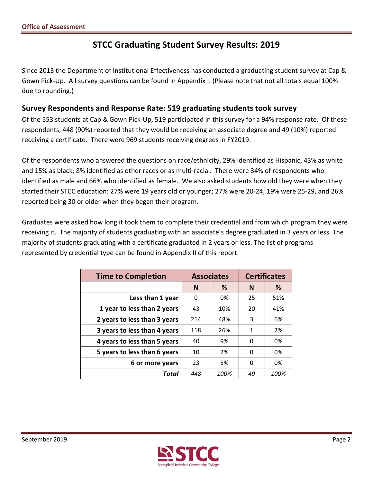# **STCC Graduating Student Survey Results: 2019**

 Since 2013 the Department of Institutional Effectiveness has conducted a graduating student survey at Cap & Gown Pick‐Up. All survey questions can be found in Appendix I. (Please note that not all totals equal 100% due to rounding.)

# **Survey Respondents and Response Rate: 519 graduating students took survey**

 Of the 553 students at Cap & Gown Pick‐Up, 519 participated in this survey for a 94% response rate. Of these respondents, 448 (90%) reported that they would be receiving an associate degree and 49 (10%) reported receiving a certificate. There were 969 students receiving degrees in FY2019.

 Of the respondents who answered the questions on race/ethnicity, 29% identified as Hispanic, 43% as white and 15% as black; 8% identified as other races or as multi‐racial. There were 34% of respondents who identified as male and 66% who identified as female. We also asked students how old they were when they started their STCC education: 27% were 19 years old or younger; 27% were 20‐24; 19% were 25‐29, and 26% reported being 30 or older when they began their program.

 Graduates were asked how long it took them to complete their credential and from which program they were receiving it. The majority of students graduating with an associate's degree graduated in 3 years or less. The majority of students graduating with a certificate graduated in 2 years or less. The list of programs represented by credential type can be found in Appendix II of this report.

| <b>Time to Completion</b>    |        | <b>Associates</b> | <b>Certificates</b> |      |  |
|------------------------------|--------|-------------------|---------------------|------|--|
|                              | %<br>N |                   | N                   | %    |  |
| Less than 1 year             | 0      | 0%                | 25                  | 51%  |  |
| 1 year to less than 2 years  | 43     | 10%               | 20                  | 41%  |  |
| 2 years to less than 3 years | 214    | 48%               | 3                   | 6%   |  |
| 3 years to less than 4 years | 118    | 26%               | $\mathbf{1}$        | 2%   |  |
| 4 years to less than 5 years | 40     | 9%                | 0                   | 0%   |  |
| 5 years to less than 6 years | 10     | 2%                | 0                   | 0%   |  |
| 6 or more years              | 23     | 5%                | 0                   | 0%   |  |
| Total                        | 448    | 100%              | 49                  | 100% |  |

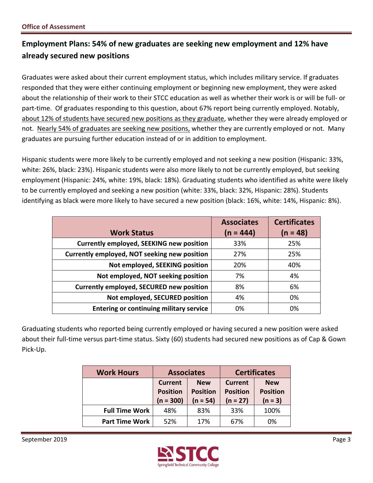# **Employment Plans: 54% of new graduates are seeking new employment and 12% have already secured new positions**

 Graduates were asked about their current employment status, which includes military service. If graduates responded that they were either continuing employment or beginning new employment, they were asked about the relationship of their work to their STCC education as well as whether their work is or will be full‐ or part‐time. Of graduates responding to this question, about 67% report being currently employed. Notably, about 12% of students have secured new positions as they graduate, whether they were already employed or not. Nearly 54% of graduates are seeking new positions, whether they are currently employed or not. Many graduates are pursuing further education instead of or in addition to employment.

 Hispanic students were more likely to be currently employed and not seeking a new position (Hispanic: 33%, white: 26%, black: 23%). Hispanic students were also more likely to not be currently employed, but seeking employment (Hispanic: 24%, white: 19%, black: 18%). Graduating students who identified as white were likely to be currently employed and seeking a new position (white: 33%, black: 32%, Hispanic: 28%). Students identifying as black were more likely to have secured a new position (black: 16%, white: 14%, Hispanic: 8%).

|                                                 | <b>Associates</b> | <b>Certificates</b> |
|-------------------------------------------------|-------------------|---------------------|
| <b>Work Status</b>                              | $(n = 444)$       | $(n = 48)$          |
| <b>Currently employed, SEEKING new position</b> | 33%               | 25%                 |
| Currently employed, NOT seeking new position    | 27%               | 25%                 |
| Not employed, SEEKING position                  | 20%               | 40%                 |
| Not employed, NOT seeking position              | 7%                | 4%                  |
| <b>Currently employed, SECURED new position</b> | 8%                | 6%                  |
| Not employed, SECURED position                  | 4%                | 0%                  |
| <b>Entering or continuing military service</b>  | 0%                | 0%                  |

 Graduating students who reported being currently employed or having secured a new position were asked about their full‐time versus part‐time status. Sixty (60) students had secured new positions as of Cap & Gown Pick‐Up.

| <b>Work Hours</b>     | <b>Associates</b>                                |                                             |                                                 | <b>Certificates</b>                        |
|-----------------------|--------------------------------------------------|---------------------------------------------|-------------------------------------------------|--------------------------------------------|
|                       | <b>Current</b><br><b>Position</b><br>$(n = 300)$ | <b>New</b><br><b>Position</b><br>$(n = 54)$ | <b>Current</b><br><b>Position</b><br>$(n = 27)$ | <b>New</b><br><b>Position</b><br>$(n = 3)$ |
| <b>Full Time Work</b> | 48%                                              | 83%                                         | 33%                                             | 100%                                       |
| <b>Part Time Work</b> | 52%                                              | 17%                                         | 67%                                             | 0%                                         |

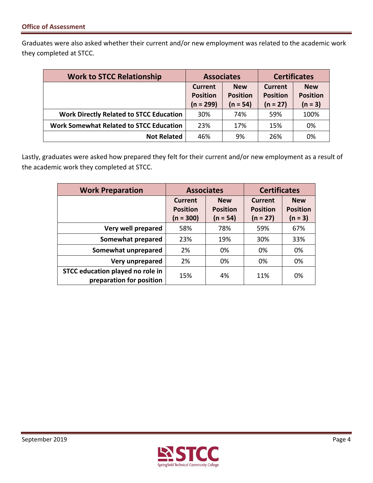Graduates were also asked whether their current and/or new employment was related to the academic work they completed at STCC.

| <b>Work to STCC Relationship</b>               | <b>Associates</b>                                           |            | <b>Certificates</b>        |                               |  |
|------------------------------------------------|-------------------------------------------------------------|------------|----------------------------|-------------------------------|--|
|                                                | <b>New</b><br>Current<br><b>Position</b><br><b>Position</b> |            | Current<br><b>Position</b> | <b>New</b><br><b>Position</b> |  |
|                                                | $(n = 299)$                                                 | $(n = 54)$ | $(n = 27)$                 |                               |  |
| <b>Work Directly Related to STCC Education</b> | 30%                                                         | 74%        | 59%                        | 100%                          |  |
| <b>Work Somewhat Related to STCC Education</b> | 23%                                                         | 17%        | 15%                        | 0%                            |  |
| <b>Not Related</b>                             | 46%                                                         | 9%         | 26%                        | 0%                            |  |

 Lastly, graduates were asked how prepared they felt for their current and/or new employment as a result of the academic work they completed at STCC.

| <b>Work Preparation</b>                                      |                                                  | <b>Certificates</b><br><b>Associates</b>    |                                                 |                                            |
|--------------------------------------------------------------|--------------------------------------------------|---------------------------------------------|-------------------------------------------------|--------------------------------------------|
|                                                              | <b>Current</b><br><b>Position</b><br>$(n = 300)$ | <b>New</b><br><b>Position</b><br>$(n = 54)$ | <b>Current</b><br><b>Position</b><br>$(n = 27)$ | <b>New</b><br><b>Position</b><br>$(n = 3)$ |
| Very well prepared                                           | 58%                                              | 78%                                         | 59%                                             |                                            |
| Somewhat prepared                                            | 23%                                              | 19%                                         | 30%                                             | 33%                                        |
| Somewhat unprepared                                          | 2%                                               | 0%                                          | 0%                                              | 0%                                         |
| Very unprepared                                              | 2%                                               | 0%                                          | 0%                                              | 0%                                         |
| STCC education played no role in<br>preparation for position | 15%                                              | 4%                                          | 11%                                             | 0%                                         |

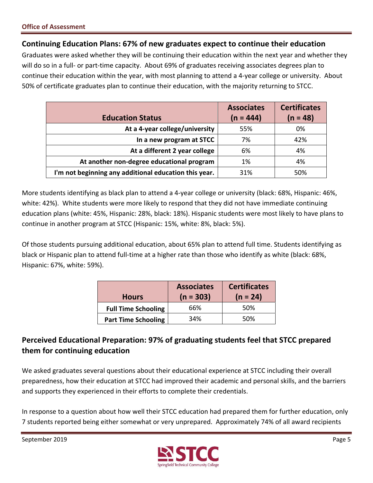## **Continuing Education Plans: 67% of new graduates expect to continue their education**

 Graduates were asked whether they will be continuing their education within the next year and whether they will do so in a full‐ or part‐time capacity. About 69% of graduates receiving associates degrees plan to continue their education within the year, with most planning to attend a 4‐year college or university. About 50% of certificate graduates plan to continue their education, with the majority returning to STCC.

|                                                       | <b>Associates</b> | <b>Certificates</b> |
|-------------------------------------------------------|-------------------|---------------------|
| <b>Education Status</b>                               | $(n = 444)$       | $(n = 48)$          |
| At a 4-year college/university                        | 55%               | 0%                  |
| In a new program at STCC                              | 7%                | 42%                 |
| At a different 2 year college                         | 6%                | 4%                  |
| At another non-degree educational program             | 1%                | 4%                  |
| I'm not beginning any additional education this year. | 31%               | 50%                 |

 More students identifying as black plan to attend a 4‐year college or university (black: 68%, Hispanic: 46%, white: 42%). White students were more likely to respond that they did not have immediate continuing education plans (white: 45%, Hispanic: 28%, black: 18%). Hispanic students were most likely to have plans to continue in another program at STCC (Hispanic: 15%, white: 8%, black: 5%).

 Of those students pursuing additional education, about 65% plan to attend full time. Students identifying as black or Hispanic plan to attend full‐time at a higher rate than those who identify as white (black: 68%, Hispanic: 67%, white: 59%).

| <b>Hours</b>               | <b>Associates</b><br>$(n = 303)$ | <b>Certificates</b><br>$(n = 24)$ |
|----------------------------|----------------------------------|-----------------------------------|
| <b>Full Time Schooling</b> | 66%                              | 50%                               |
| <b>Part Time Schooling</b> | 34%                              | 50%                               |

# **Perceived Educational Preparation: 97% of graduating students feel that STCC prepared them for continuing education**

 We asked graduates several questions about their educational experience at STCC including their overall preparedness, how their education at STCC had improved their academic and personal skills, and the barriers and supports they experienced in their efforts to complete their credentials.

 In response to a question about how well their STCC education had prepared them for further education, only 7 students reported being either somewhat or very unprepared. Approximately 74% of all award recipients

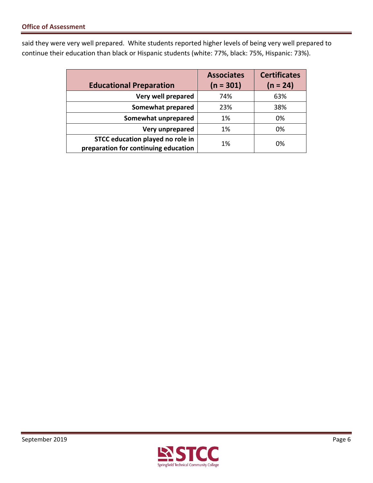said they were very well prepared. White students reported higher levels of being very well prepared to continue their education than black or Hispanic students (white: 77%, black: 75%, Hispanic: 73%).

|                                      | <b>Associates</b> | <b>Certificates</b> |
|--------------------------------------|-------------------|---------------------|
| <b>Educational Preparation</b>       | $(n = 301)$       | $(n = 24)$          |
| Very well prepared                   | 74%               | 63%                 |
| <b>Somewhat prepared</b>             | 23%               | 38%                 |
| Somewhat unprepared                  | 1%                | 0%                  |
| Very unprepared                      | 1%                | 0%                  |
| STCC education played no role in     | 1%                | 0%                  |
| preparation for continuing education |                   |                     |

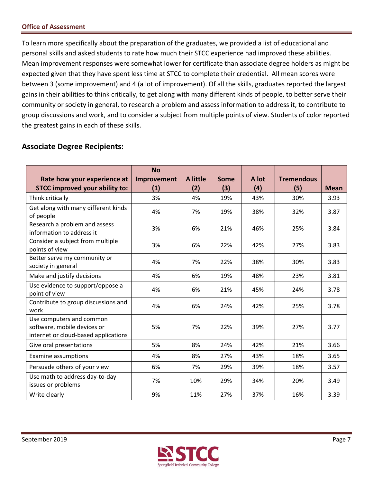To learn more specifically about the preparation of the graduates, we provided a list of educational and personal skills and asked students to rate how much their STCC experience had improved these abilities. Mean improvement responses were somewhat lower for certificate than associate degree holders as might be expected given that they have spent less time at STCC to complete their credential. All mean scores were between 3 (some improvement) and 4 (a lot of improvement). Of all the skills, graduates reported the largest gains in their abilities to think critically, to get along with many different kinds of people, to better serve their community or society in general, to research a problem and assess information to address it, to contribute to group discussions and work, and to consider a subject from multiple points of view. Students of color reported the greatest gains in each of these skills.

# **Associate Degree Recipients:**

| Rate how your experience at<br><b>STCC improved your ability to:</b>                            | <b>No</b><br>Improvement<br>(1) | A little<br>(2) | Some<br>(3) | A lot<br>(4) | <b>Tremendous</b><br>(5) | <b>Mean</b> |
|-------------------------------------------------------------------------------------------------|---------------------------------|-----------------|-------------|--------------|--------------------------|-------------|
| Think critically                                                                                | 3%                              | 4%              | 19%         | 43%          | 30%                      | 3.93        |
| Get along with many different kinds<br>of people                                                | 4%                              | 7%              | 19%         | 38%          | 32%                      | 3.87        |
| Research a problem and assess<br>information to address it                                      | 3%                              | 6%              | 21%         | 46%          | 25%                      | 3.84        |
| Consider a subject from multiple<br>points of view                                              | 3%                              | 6%              | 22%         | 42%          | 27%                      | 3.83        |
| Better serve my community or<br>society in general                                              | 4%                              | 7%              | 22%         | 38%          | 30%                      | 3.83        |
| Make and justify decisions                                                                      | 4%                              | 6%              | 19%         | 48%          | 23%                      | 3.81        |
| Use evidence to support/oppose a<br>point of view                                               | 4%                              | 6%              | 21%         | 45%          | 24%                      | 3.78        |
| Contribute to group discussions and<br>work                                                     | 4%                              | 6%              | 24%         | 42%          | 25%                      | 3.78        |
| Use computers and common<br>software, mobile devices or<br>internet or cloud-based applications | 5%                              | 7%              | 22%         | 39%          | 27%                      | 3.77        |
| Give oral presentations                                                                         | 5%                              | 8%              | 24%         | 42%          | 21%                      | 3.66        |
| <b>Examine assumptions</b>                                                                      | 4%                              | 8%              | 27%         | 43%          | 18%                      | 3.65        |
| Persuade others of your view                                                                    | 6%                              | 7%              | 29%         | 39%          | 18%                      | 3.57        |
| Use math to address day-to-day<br>issues or problems                                            | 7%                              | 10%             | 29%         | 34%          | 20%                      | 3.49        |
| Write clearly                                                                                   | 9%                              | 11%             | 27%         | 37%          | 16%                      | 3.39        |

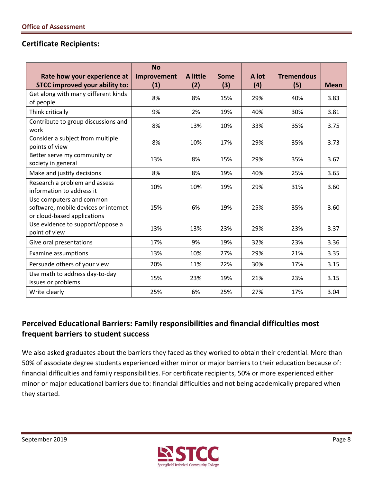## **Certificate Recipients:**

| Rate how your experience at<br><b>STCC improved your ability to:</b>                            | <b>No</b><br>Improvement<br>(1) | A little<br>(2) | <b>Some</b><br>(3) | A lot<br>(4) | <b>Tremendous</b><br>(5) | <b>Mean</b> |
|-------------------------------------------------------------------------------------------------|---------------------------------|-----------------|--------------------|--------------|--------------------------|-------------|
| Get along with many different kinds<br>of people                                                | 8%                              | 8%              | 15%                | 29%          | 40%                      | 3.83        |
| Think critically                                                                                | 9%                              | 2%              | 19%                | 40%          | 30%                      | 3.81        |
| Contribute to group discussions and<br>work                                                     | 8%                              | 13%             | 10%                | 33%          | 35%                      | 3.75        |
| Consider a subject from multiple<br>points of view                                              | 8%                              | 10%             | 17%                | 29%          | 35%                      | 3.73        |
| Better serve my community or<br>society in general                                              | 13%                             | 8%              | 15%                | 29%          | 35%                      | 3.67        |
| Make and justify decisions                                                                      | 8%                              | 8%              | 19%                | 40%          | 25%                      | 3.65        |
| Research a problem and assess<br>information to address it                                      | 10%                             | 10%             | 19%                | 29%          | 31%                      | 3.60        |
| Use computers and common<br>software, mobile devices or internet<br>or cloud-based applications | 15%                             | 6%              | 19%                | 25%          | 35%                      | 3.60        |
| Use evidence to support/oppose a<br>point of view                                               | 13%                             | 13%             | 23%                | 29%          | 23%                      | 3.37        |
| Give oral presentations                                                                         | 17%                             | 9%              | 19%                | 32%          | 23%                      | 3.36        |
| <b>Examine assumptions</b>                                                                      | 13%                             | 10%             | 27%                | 29%          | 21%                      | 3.35        |
| Persuade others of your view                                                                    | 20%                             | 11%             | 22%                | 30%          | 17%                      | 3.15        |
| Use math to address day-to-day<br>issues or problems                                            | 15%                             | 23%             | 19%                | 21%          | 23%                      | 3.15        |
| Write clearly                                                                                   | 25%                             | 6%              | 25%                | 27%          | 17%                      | 3.04        |

# **Perceived Educational Barriers: Family responsibilities and financial difficulties most frequent barriers to student success**

 We also asked graduates about the barriers they faced as they worked to obtain their credential. More than 50% of associate degree students experienced either minor or major barriers to their education because of: financial difficulties and family responsibilities. For certificate recipients, 50% or more experienced either minor or major educational barriers due to: financial difficulties and not being academically prepared when they started.

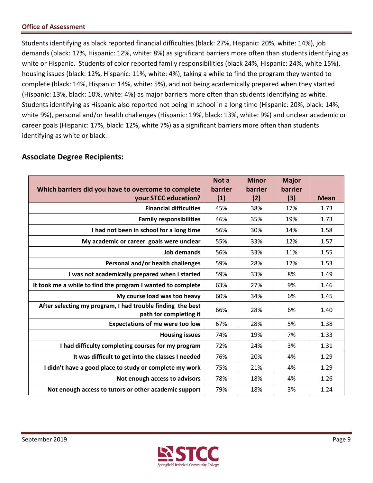Students identifying as black reported financial difficulties (black: 27%, Hispanic: 20%, white: 14%), job demands (black: 17%, Hispanic: 12%, white: 8%) as significant barriers more often than students identifying as white or Hispanic. Students of color reported family responsibilities (black 24%, Hispanic: 24%, white 15%), housing issues (black: 12%, Hispanic: 11%, white: 4%), taking a while to find the program they wanted to complete (black: 14%, Hispanic: 14%, white: 5%), and not being academically prepared when they started (Hispanic: 13%, black: 10%, white: 4%) as major barriers more often than students identifying as white. Students identifying as Hispanic also reported not being in school in a long time (Hispanic: 20%, black: 14%, white 9%), personal and/or health challenges (Hispanic: 19%, black: 13%, white: 9%) and unclear academic or career goals (Hispanic: 17%, black: 12%, white 7%) as a significant barriers more often than students identifying as white or black.

#### **Which barriers did you have to overcome to complete your STCC education? Not a I had not been in school for a long time** 56% 30% 14% 1.58  **My academic or career goals were unclear** 55% 33% 12% 1.57 **Personal and/or health challenges** | 59% | 28% | 12% | 1.53 **l** was not academically prepared when I started  $\vert$  59%  $\vert$  33%  $\vert$  8%  $\vert$  1.49  **It took me a while to find the program I wanted to complete** 63% 27% 9% 1.46  **My course load was too heavy** 60% 34% 6% 1.45  **After selecting my program, I had trouble finding the best path for completing it**  $\begin{bmatrix} 66\% \\ 66\% \end{bmatrix}$  28% 6% 1.40  **Expectations of me were too low** 67% 28% 5% 1.38 19% | 7% **i** had difficulty completing courses for my program  $\vert$  72%  $\vert$  24%  $\vert$  3%  $\vert$  1.31  **It was difficult to get into the classes I needed** 76% 20% 4% 1.29  **I didn't have a good place to study or complete my work** 75% 21% 4% 1.29 **Not enough access to advisors** | 78% | 18% | 4% | 1.26  **Not enough access to tutors or other academic support | 79% | 18% | 3% | 1.24 barrier (1) Minor barrier (2) Major barrier (3) Mean Financial difficulties** | 45% | 38% | 17% | 1.73 **Family responsibilities** | 46% | 35% | 19% | 1.73 **Job demands** | 56% | 33% | 11% | 1.55 **Housing issues** 74% 19% 7% 1.33

## **Associate Degree Recipients:**

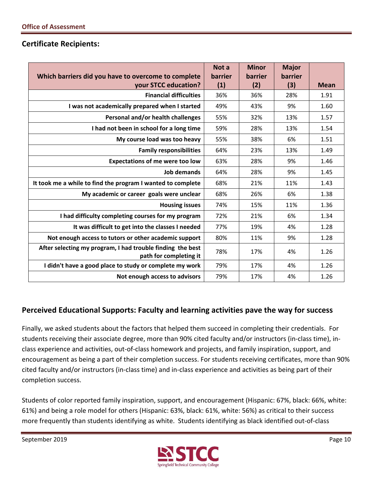### **Certificate Recipients:**

|                                                                                      | Not a   | <b>Minor</b> | <b>Major</b> |             |
|--------------------------------------------------------------------------------------|---------|--------------|--------------|-------------|
| Which barriers did you have to overcome to complete                                  | barrier | barrier      | barrier      |             |
| your STCC education?                                                                 | (1)     | (2)          | (3)          | <b>Mean</b> |
| <b>Financial difficulties</b>                                                        | 36%     | 36%          | 28%          | 1.91        |
| I was not academically prepared when I started                                       | 49%     | 43%          | 9%           | 1.60        |
| Personal and/or health challenges                                                    | 55%     | 32%          | 13%          | 1.57        |
| I had not been in school for a long time                                             | 59%     | 28%          | 13%          | 1.54        |
| My course load was too heavy                                                         | 55%     | 38%          | 6%           | 1.51        |
| <b>Family responsibilities</b>                                                       | 64%     | 23%          | 13%          | 1.49        |
| <b>Expectations of me were too low</b>                                               | 63%     | 28%          | 9%           | 1.46        |
| <b>Job demands</b>                                                                   | 64%     | 28%          | 9%           | 1.45        |
| It took me a while to find the program I wanted to complete                          | 68%     | 21%          | 11%          | 1.43        |
| My academic or career goals were unclear                                             | 68%     | 26%          | 6%           | 1.38        |
| <b>Housing issues</b>                                                                | 74%     | 15%          | 11%          | 1.36        |
| I had difficulty completing courses for my program                                   | 72%     | 21%          | 6%           | 1.34        |
| It was difficult to get into the classes I needed                                    | 77%     | 19%          | 4%           | 1.28        |
| Not enough access to tutors or other academic support                                | 80%     | 11%          | 9%           | 1.28        |
| After selecting my program, I had trouble finding the best<br>path for completing it | 78%     | 17%          | 4%           | 1.26        |
| I didn't have a good place to study or complete my work                              | 79%     | 17%          | 4%           | 1.26        |
| Not enough access to advisors                                                        | 79%     | 17%          | 4%           | 1.26        |

## **Perceived Educational Supports: Faculty and learning activities pave the way for success**

 Finally, we asked students about the factors that helped them succeed in completing their credentials. For students receiving their associate degree, more than 90% cited faculty and/or instructors (in‐class time), in‐ class experience and activities, out‐of‐class homework and projects, and family inspiration, support, and encouragement as being a part of their completion success. For students receiving certificates, more than 90% cited faculty and/or instructors (in‐class time) and in‐class experience and activities as being part of their completion success.

 Students of color reported family inspiration, support, and encouragement (Hispanic: 67%, black: 66%, white: 61%) and being a role model for others (Hispanic: 63%, black: 61%, white: 56%) as critical to their success more frequently than students identifying as white. Students identifying as black identified out‐of‐class

September 2019 Page 10

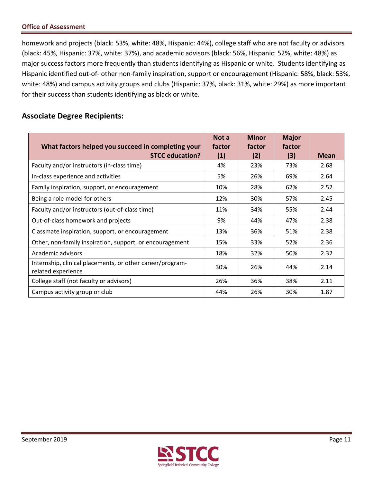homework and projects (black: 53%, white: 48%, Hispanic: 44%), college staff who are not faculty or advisors (black: 45%, Hispanic: 37%, white: 37%), and academic advisors (black: 56%, Hispanic: 52%, white: 48%) as major success factors more frequently than students identifying as Hispanic or white. Students identifying as Hispanic identified out‐of‐ other non‐family inspiration, support or encouragement (Hispanic: 58%, black: 53%, white: 48%) and campus activity groups and clubs (Hispanic: 37%, black: 31%, white: 29%) as more important for their success than students identifying as black or white.

# **Associate Degree Recipients:**

| What factors helped you succeed in completing your<br><b>STCC education?</b>    | Not a<br>factor<br>(1) | <b>Minor</b><br>factor<br>(2) | <b>Major</b><br>factor<br>(3) | <b>Mean</b> |
|---------------------------------------------------------------------------------|------------------------|-------------------------------|-------------------------------|-------------|
| Faculty and/or instructors (in-class time)                                      | 4%                     | 23%                           | 73%                           | 2.68        |
| In-class experience and activities                                              | 5%                     | 26%                           | 69%                           | 2.64        |
| Family inspiration, support, or encouragement                                   | 10%                    | 28%                           | 62%                           | 2.52        |
| Being a role model for others                                                   | 12%                    | 30%                           | 57%                           | 2.45        |
| Faculty and/or instructors (out-of-class time)                                  | 11%                    | 34%                           | 55%                           | 2.44        |
| Out-of-class homework and projects                                              | 9%                     | 44%                           | 47%                           | 2.38        |
| Classmate inspiration, support, or encouragement                                | 13%                    | 36%                           | 51%                           | 2.38        |
| Other, non-family inspiration, support, or encouragement                        | 15%                    | 33%                           | 52%                           | 2.36        |
| Academic advisors                                                               | 18%                    | 32%                           | 50%                           | 2.32        |
| Internship, clinical placements, or other career/program-<br>related experience | 30%                    | 26%                           | 44%                           | 2.14        |
| College staff (not faculty or advisors)                                         | 26%                    | 36%                           | 38%                           | 2.11        |
| Campus activity group or club                                                   | 44%                    | 26%                           | 30%                           | 1.87        |

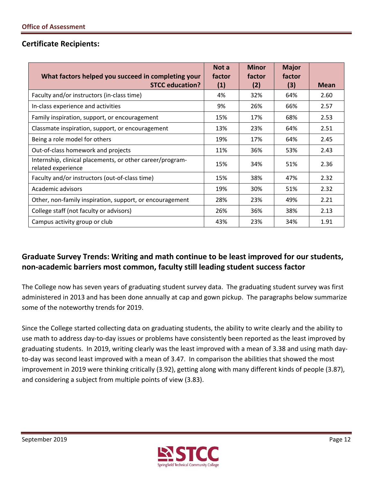## **Certificate Recipients:**

| What factors helped you succeed in completing your<br><b>STCC education?</b>    | Not a<br>factor<br>(1) | <b>Minor</b><br>factor<br>(2) | <b>Major</b><br>factor<br>(3) | <b>Mean</b> |
|---------------------------------------------------------------------------------|------------------------|-------------------------------|-------------------------------|-------------|
|                                                                                 |                        |                               |                               |             |
| Faculty and/or instructors (in-class time)                                      | 4%                     | 32%                           | 64%                           | 2.60        |
| In-class experience and activities                                              | 9%                     | 26%                           | 66%                           | 2.57        |
| Family inspiration, support, or encouragement                                   | 15%                    | 17%                           | 68%                           | 2.53        |
| Classmate inspiration, support, or encouragement                                | 13%                    | 23%                           | 64%                           | 2.51        |
| Being a role model for others                                                   | 19%                    | 17%                           | 64%                           | 2.45        |
| Out-of-class homework and projects                                              | 11%                    | 36%                           | 53%                           | 2.43        |
| Internship, clinical placements, or other career/program-<br>related experience | 15%                    | 34%                           | 51%                           | 2.36        |
| Faculty and/or instructors (out-of-class time)                                  | 15%                    | 38%                           | 47%                           | 2.32        |
| Academic advisors                                                               | 19%                    | 30%                           | 51%                           | 2.32        |
| Other, non-family inspiration, support, or encouragement                        | 28%                    | 23%                           | 49%                           | 2.21        |
| College staff (not faculty or advisors)                                         | 26%                    | 36%                           | 38%                           | 2.13        |
| Campus activity group or club                                                   | 43%                    | 23%                           | 34%                           | 1.91        |

# **Graduate Survey Trends: Writing and math continue to be least improved for our students, non‐academic barriers most common, faculty still leading student success factor**

 The College now has seven years of graduating student survey data. The graduating student survey was first administered in 2013 and has been done annually at cap and gown pickup. The paragraphs below summarize some of the noteworthy trends for 2019.

 Since the College started collecting data on graduating students, the ability to write clearly and the ability to use math to address day‐to‐day issues or problems have consistently been reported as the least improved by graduating students. In 2019, writing clearly was the least improved with a mean of 3.38 and using math day‐ to‐day was second least improved with a mean of 3.47. In comparison the abilities that showed the most improvement in 2019 were thinking critically (3.92), getting along with many different kinds of people (3.87), and considering a subject from multiple points of view (3.83).

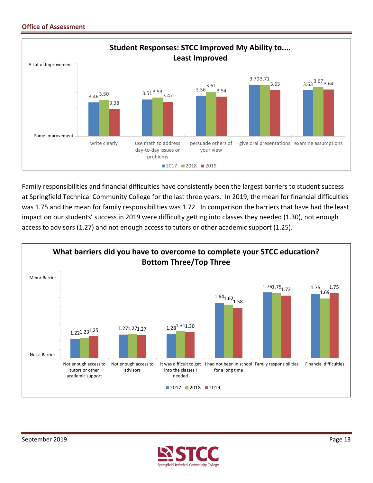

 Family responsibilities and financial difficulties have consistently been the largest barriers to student success at Springfield Technical Community College for the last three years. In 2019, the mean for financial difficulties was 1.75 and the mean for family responsibilities was 1.72. In comparison the barriers that have had the least impact on our students' success in 2019 were difficulty getting into classes they needed (1.30), not enough access to advisors (1.27) and not enough access to tutors or other academic support (1.25).



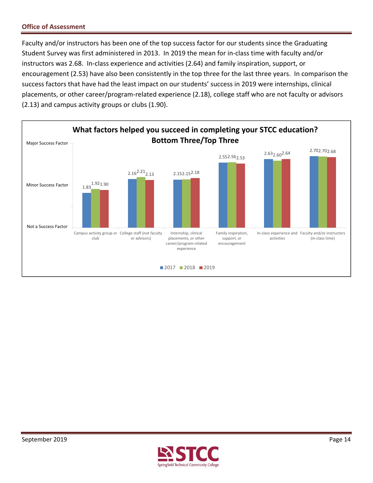Faculty and/or instructors has been one of the top success factor for our students since the Graduating Student Survey was first administered in 2013. In 2019 the mean for in‐class time with faculty and/or instructors was 2.68. In‐class experience and activities (2.64) and family inspiration, support, or encouragement (2.53) have also been consistently in the top three for the last three years. In comparison the success factors that have had the least impact on our students' success in 2019 were internships, clinical placements, or other career/program‐related experience (2.18), college staff who are not faculty or advisors (2.13) and campus activity groups or clubs (1.90).



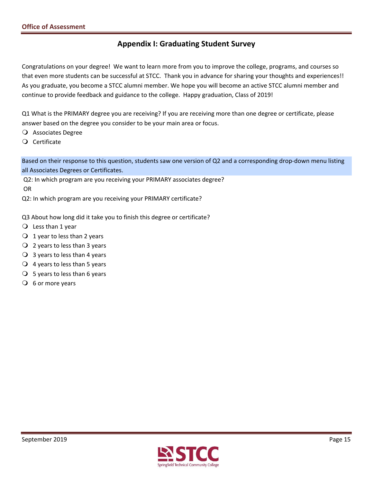# **Appendix I: Graduating Student Survey**

 Congratulations on your degree! We want to learn more from you to improve the college, programs, and courses so that even more students can be successful at STCC. Thank you in advance for sharing your thoughts and experiences!! As you graduate, you become a STCC alumni member. We hope you will become an active STCC alumni member and continue to provide feedback and guidance to the college. Happy graduation, Class of 2019!

 Q1 What is the PRIMARY degree you are receiving? If you are receiving more than one degree or certificate, please answer based on the degree you consider to be your main area or focus.

Associates Degree

Certificate

 Based on their response to this question, students saw one version of Q2 and a corresponding drop‐down menu listing all Associates Degrees or Certificates.

 Q2: In which program are you receiving your PRIMARY associates degree? OR

Q2: In which program are you receiving your PRIMARY certificate?

Q3 About how long did it take you to finish this degree or certificate?

- $\overline{O}$  Less than 1 year
- $\bigcirc$  1 year to less than 2 years
- $\overline{Q}$  2 years to less than 3 years
- $\bigcirc$  3 years to less than 4 years
- $\bigcirc$  4 years to less than 5 years
- $\bigcirc$  5 years to less than 6 years
- $\overline{O}$  6 or more years

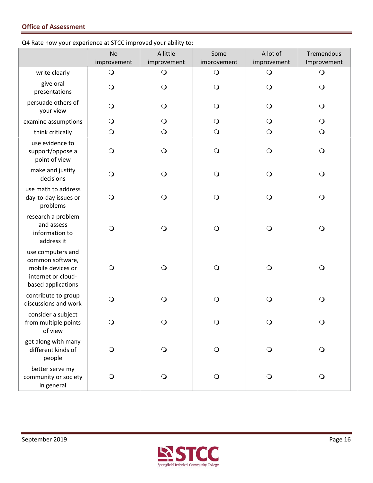Q4 Rate how your experience at STCC improved your ability to:

|                                                                                                        | <b>No</b><br>improvement | A little<br>improvement | Some<br>improvement | A lot of<br>improvement | Tremendous<br>Improvement |
|--------------------------------------------------------------------------------------------------------|--------------------------|-------------------------|---------------------|-------------------------|---------------------------|
| write clearly                                                                                          | $\bigcirc$               | $\bigcirc$              | $\bigcirc$          | $\bigcirc$              | $\mathsf{O}$              |
| give oral<br>presentations                                                                             | $\bigcirc$               | $\bigcirc$              | $\bigcirc$          | $\bigcirc$              | $\circ$                   |
| persuade others of<br>your view                                                                        | $\bigcirc$               | $\bigcirc$              | $\bigcirc$          | $\bigcirc$              | $\bigcirc$                |
| examine assumptions                                                                                    | $\bigcirc$               | $\bigcirc$              | $\bigcirc$          | $\bigcirc$              | $\bigcirc$                |
| think critically                                                                                       | $\bigcirc$               | $\bigcirc$              | $\bigcirc$          | $\bigcirc$              | $\bigcirc$                |
| use evidence to<br>support/oppose a<br>point of view                                                   | $\bigcirc$               | $\bigcirc$              | $\bigcirc$          | $\bigcirc$              | $\bigcirc$                |
| make and justify<br>decisions                                                                          | $\bigcirc$               | $\bigcirc$              | $\bigcirc$          | $\bigcirc$              | $\bigcirc$                |
| use math to address<br>day-to-day issues or<br>problems                                                | $\bigcirc$               | $\bigcirc$              | $\bigcirc$          | $\bigcirc$              | $\bigcirc$                |
| research a problem<br>and assess<br>information to<br>address it                                       | $\bigcirc$               | $\bigcirc$              | $\bigcirc$          | $\bigcirc$              | $\bigcirc$                |
| use computers and<br>common software,<br>mobile devices or<br>internet or cloud-<br>based applications | $\bigcirc$               | $\bigcirc$              | $\bigcirc$          | $\bigcirc$              | $\bigcirc$                |
| contribute to group<br>discussions and work                                                            | $\bigcirc$               | $\bigcirc$              | $\bigcirc$          | $\bigcirc$              | $\bigcirc$                |
| consider a subject<br>from multiple points<br>of view                                                  | Ő                        | Ő                       | $\circ$             | $\circ$                 | Ő                         |
| get along with many<br>different kinds of<br>people                                                    | $\bigcirc$               | $\bigcirc$              | $\bigcirc$          | $\bigcirc$              | $\bigcirc$                |
| better serve my<br>community or society<br>in general                                                  | $\bigcirc$               | $\bigcirc$              | $\bigcirc$          | $\bigcirc$              | $\bigcirc$                |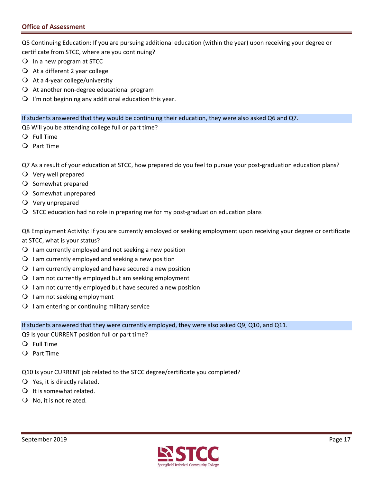Q5 Continuing Education: If you are pursuing additional education (within the year) upon receiving your degree or certificate from STCC, where are you continuing?

- In a new program at STCC
- $\bigcirc$  At a different 2 year college
- At a 4-year college/university
- At another non-degree educational program
- $\bigcirc$  I'm not beginning any additional education this year.

If students answered that they would be continuing their education, they were also asked Q6 and Q7.

Q6 Will you be attending college full or part time?

- Full Time
- Part Time

Q7 As a result of your education at STCC, how prepared do you feel to pursue your post-graduation education plans?

- Very well prepared
- O Somewhat prepared
- O Somewhat unprepared
- Very unprepared
- $\bigcirc$  STCC education had no role in preparing me for my post-graduation education plans

 Q8 Employment Activity: If you are currently employed or seeking employment upon receiving your degree or certificate at STCC, what is your status?

- $\bigcirc$  I am currently employed and not seeking a new position
- $\bigcirc$  I am currently employed and seeking a new position
- $\Omega$  I am currently employed and have secured a new position
- $\bigcirc$  I am not currently employed but am seeking employment
- $\Omega$  I am not currently employed but have secured a new position
- O I am not seeking employment
- $\bigcirc$  I am entering or continuing military service

If students answered that they were currently employed, they were also asked Q9, Q10, and Q11.

Q9 Is your CURRENT position full or part time?

- Full Time
- Part Time

Q10 Is your CURRENT job related to the STCC degree/certificate you completed?

- $\bigcirc$  Yes, it is directly related.
- $\bigcirc$  It is somewhat related.
- $\bigcirc$  No, it is not related.

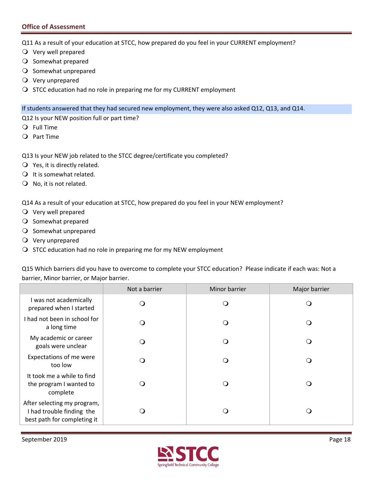Q11 As a result of your education at STCC, how prepared do you feel in your CURRENT employment?

- Very well prepared
- O Somewhat prepared
- O Somewhat unprepared
- Very unprepared
- O STCC education had no role in preparing me for my CURRENT employment

If students answered that they had secured new employment, they were also asked Q12, Q13, and Q14.

Q12 Is your NEW position full or part time?

- Full Time
- Part Time
- Q13 Is your NEW job related to the STCC degree/certificate you completed?
- $\bigcirc$  Yes, it is directly related.
- $\bigcirc$  It is somewhat related.
- $\bigcirc$  No, it is not related.

Q14 As a result of your education at STCC, how prepared do you feel in your NEW employment?

- Very well prepared
- O Somewhat prepared
- O Somewhat unprepared
- Very unprepared
- $\bigcirc$  STCC education had no role in preparing me for my NEW employment

 Q15 Which barriers did you have to overcome to complete your STCC education? Please indicate if each was: Not a barrier, Minor barrier, or Major barrier.

|                                                                                         | Not a barrier | Minor barrier | Major barrier |
|-----------------------------------------------------------------------------------------|---------------|---------------|---------------|
| I was not academically<br>prepared when I started                                       |               | ∩             |               |
| I had not been in school for<br>a long time                                             |               | ⊖ )           | ∩             |
| My academic or career<br>goals were unclear                                             |               | (၂            | 0             |
| Expectations of me were<br>too low                                                      |               | 0             |               |
| It took me a while to find<br>the program I wanted to<br>complete                       |               | $\Omega$      | ∩             |
| After selecting my program,<br>I had trouble finding the<br>best path for completing it |               | 0             | ∩             |

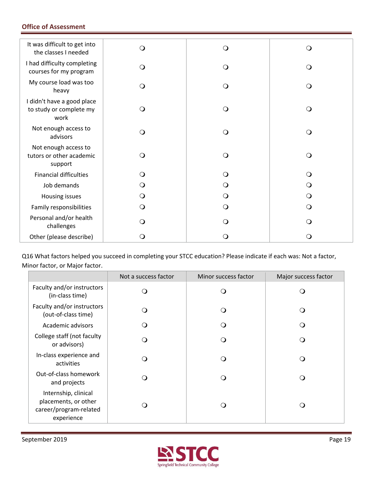| It was difficult to get into<br>the classes I needed          | $\bigcirc$ | $\Omega$       | ∩        |
|---------------------------------------------------------------|------------|----------------|----------|
| I had difficulty completing<br>courses for my program         | $\circ$    | Q              | Q        |
| My course load was too<br>heavy                               | O          | O              |          |
| I didn't have a good place<br>to study or complete my<br>work | $\circ$    | Q              | ∩        |
| Not enough access to<br>advisors                              | $\circ$    | Q              | $\Omega$ |
| Not enough access to<br>tutors or other academic<br>support   | $\circ$    | ∩              | ∩        |
| <b>Financial difficulties</b>                                 | $\Omega$   | $\blacksquare$ |          |
| Job demands                                                   | $\circ$    |                |          |
| Housing issues                                                | $\circ$    | ∩              |          |
| Family responsibilities                                       | $\circ$    | ∩              |          |
| Personal and/or health<br>challenges                          | Q          | 0              |          |
| Other (please describe)                                       | 0          |                |          |

 Q16 What factors helped you succeed in completing your STCC education? Please indicate if each was: Not a factor, Minor factor, or Major factor.

|                                                                                      | Not a success factor | Minor success factor | Major success factor |
|--------------------------------------------------------------------------------------|----------------------|----------------------|----------------------|
| Faculty and/or instructors<br>(in-class time)                                        | ၂                    | ( )                  |                      |
| Faculty and/or instructors<br>(out-of-class time)                                    | ∩ )                  |                      |                      |
| Academic advisors                                                                    |                      | ∩                    |                      |
| College staff (not faculty<br>or advisors)                                           | ் )                  | ∩                    |                      |
| In-class experience and<br>activities                                                | ் )                  | ∩                    | ∩                    |
| Out-of-class homework<br>and projects                                                | ் )                  | ∩                    |                      |
| Internship, clinical<br>placements, or other<br>career/program-related<br>experience | ◝                    | ( )                  | ு                    |

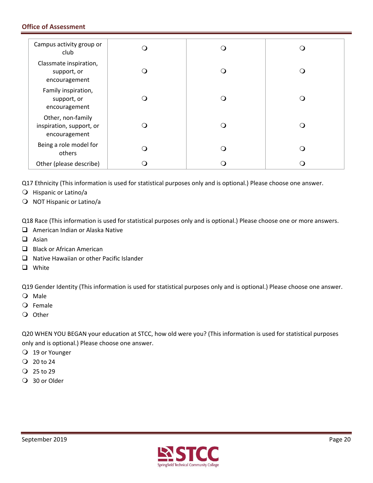| Campus activity group or<br>club                               |  |     |
|----------------------------------------------------------------|--|-----|
| Classmate inspiration,<br>support, or<br>encouragement         |  | : ) |
| Family inspiration,<br>support, or<br>encouragement            |  |     |
| Other, non-family<br>inspiration, support, or<br>encouragement |  |     |
| Being a role model for<br>others                               |  |     |
| Other (please describe)                                        |  |     |

Q17 Ethnicity (This information is used for statistical purposes only and is optional.) Please choose one answer.

- O Hispanic or Latino/a
- O NOT Hispanic or Latino/a

Q18 Race (This information is used for statistical purposes only and is optional.) Please choose one or more answers.

- American Indian or Alaska Native
- $\Box$  Asian
- Black or African American
- $\Box$  Native Hawaiian or other Pacific Islander
- **Q** White

Q19 Gender Identity (This information is used for statistical purposes only and is optional.) Please choose one answer.

- Male
- Female
- O Other

 Q20 WHEN YOU BEGAN your education at STCC, how old were you? (This information is used for statistical purposes only and is optional.) Please choose one answer.

- 19 or Younger
- $Q$  20 to 24
- $Q$  25 to 29
- 30 or Older

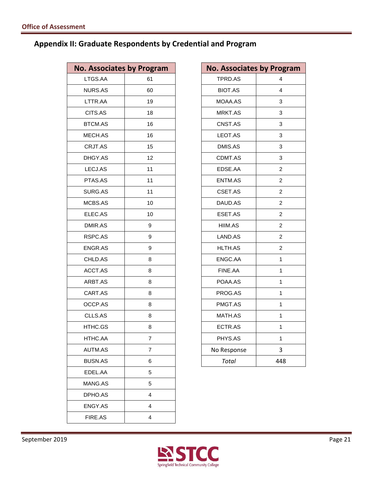### **Appendix II: Graduate Respondents by Credential and Program**

| <b>No. Associates by Program</b> |
|----------------------------------|
| 61                               |
| 60                               |
| 19                               |
| 18                               |
| 16                               |
| 16                               |
| 15                               |
| 12                               |
| 11                               |
| 11                               |
| 11                               |
| 10                               |
| 10                               |
| 9                                |
| 9                                |
| 9                                |
| 8                                |
| 8                                |
| 8                                |
| 8                                |
| 8                                |
| 8                                |
| 8                                |
| 7                                |
| 7                                |
| 6                                |
| 5                                |
| 5                                |
| 4                                |
| 4                                |
| 4                                |
|                                  |

|                | <b>Associates by Program</b> | <b>No. Associates by Program</b> |                  |
|----------------|------------------------------|----------------------------------|------------------|
| TGS.AA         | 61                           | TPRD.AS                          | $\overline{4}$   |
| <b>IURS.AS</b> | 60                           | <b>BIOT.AS</b>                   | $\overline{4}$   |
| TTR.AA         | 19                           | MOAA.AS                          | 3                |
| CITS.AS        | 18                           | MRKT.AS                          | 3                |
| <b>TCM.AS</b>  | 16                           | CNST.AS                          | 3                |
| <b>IECH.AS</b> | 16                           | LEOT.AS                          | 3                |
| <b>CRJT.AS</b> | 15                           | DMIS.AS                          | 3                |
| HGY.AS         | 12                           | CDMT.AS                          | 3                |
| ECJ.AS         | 11                           | EDSE.AA                          | $\overline{c}$   |
| TAS.AS         | 11                           | ENTM.AS                          | $\overline{c}$   |
| URG.AS         | 11                           | CSET.AS                          | $\overline{c}$   |
| <b>ICBS.AS</b> | 10                           | DAUD.AS                          | $\overline{c}$   |
| <b>LEC.AS</b>  | 10                           | ESET.AS                          | $\boldsymbol{2}$ |
| <b>MIR.AS</b>  | 9                            | HIIM.AS                          | $\overline{c}$   |
| SPC.AS         | 9                            | LAND.AS                          | $\overline{2}$   |
| NGR.AS         | 9                            | HLTH.AS                          | $\overline{c}$   |
| HLD.AS         | 8                            | ENGC.AA                          | $\mathbf{1}$     |
| CCT.AS         | 8                            | FINE.AA                          | $\mathbf{1}$     |
| RBT.AS         | 8                            | POAA.AS                          | $\mathbf{1}$     |
| ART.AS         | 8                            | PROG.AS                          | 1                |
| <b>CCP.AS</b>  | 8                            | PMGT.AS                          | $\mathbf{1}$     |
| CLLS.AS        | 8                            | MATH.AS                          | 1                |
| <b>ITHC.GS</b> | 8                            | ECTR.AS                          | $\mathbf{1}$     |
| <b>ITHC.AA</b> | $\overline{7}$               | PHYS.AS                          | 1                |
| UTM.AS         | $\overline{7}$               | No Response                      | 3                |
| <b>JUSN.AS</b> | 6                            | <b>Total</b>                     | 448              |
|                |                              |                                  |                  |